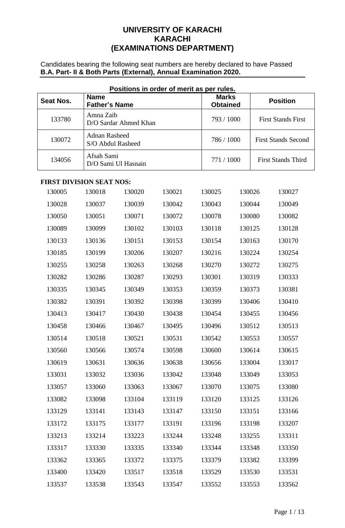# **UNIVERSITY OF KARACHI KARACHI (EXAMINATIONS DEPARTMENT)**

Candidates bearing the following seat numbers are hereby declared to have Passed **B.A. Part- II & Both Parts (External), Annual Examination 2020.**

| Positions in order of merit as per rules. |                                           |                       |        |                                 |        |                            |  |  |
|-------------------------------------------|-------------------------------------------|-----------------------|--------|---------------------------------|--------|----------------------------|--|--|
| <b>Seat Nos.</b>                          | <b>Name</b><br><b>Father's Name</b>       |                       |        | <b>Marks</b><br><b>Obtained</b> |        | <b>Position</b>            |  |  |
| 133780                                    | Amna Zaib                                 | D/O Sardar Ahmed Khan |        | 793 / 1000                      |        | <b>First Stands First</b>  |  |  |
| 130072                                    | <b>Adnan Rasheed</b><br>S/O Abdul Rasheed |                       |        | 786 / 1000                      |        | <b>First Stands Second</b> |  |  |
| 134056                                    | Afsah Sami                                | D/O Sami Ul Hasnain   |        | 771 / 1000                      |        | <b>First Stands Third</b>  |  |  |
| <b>FIRST DIVISION SEAT NOS:</b>           |                                           |                       |        |                                 |        |                            |  |  |
| 130005                                    | 130018                                    | 130020                | 130021 | 130025                          | 130026 | 130027                     |  |  |
| 130028                                    | 130037                                    | 130039                | 130042 | 130043                          | 130044 | 130049                     |  |  |
| 130050                                    | 130051                                    | 130071                | 130072 | 130078                          | 130080 | 130082                     |  |  |
| 130089                                    | 130099                                    | 130102                | 130103 | 130118                          | 130125 | 130128                     |  |  |
| 130133                                    | 130136                                    | 130151                | 130153 | 130154                          | 130163 | 130170                     |  |  |
| 130185                                    | 130199                                    | 130206                | 130207 | 130216                          | 130224 | 130254                     |  |  |
| 130255                                    | 130258                                    | 130263                | 130268 | 130270                          | 130272 | 130275                     |  |  |
| 130282                                    | 130286                                    | 130287                | 130293 | 130301                          | 130319 | 130333                     |  |  |
| 130335                                    | 130345                                    | 130349                | 130353 | 130359                          | 130373 | 130381                     |  |  |
| 130382                                    | 130391                                    | 130392                | 130398 | 130399                          | 130406 | 130410                     |  |  |
| 130413                                    | 130417                                    | 130430                | 130438 | 130454                          | 130455 | 130456                     |  |  |
| 130458                                    | 130466                                    | 130467                | 130495 | 130496                          | 130512 | 130513                     |  |  |
| 130514                                    | 130518                                    | 130521                | 130531 | 130542                          | 130553 | 130557                     |  |  |
| 130560                                    | 130566                                    | 130574                | 130598 | 130600                          | 130614 | 130615                     |  |  |
| 130619                                    | 130631                                    | 130636                | 130638 | 130656                          | 133004 | 133017                     |  |  |
| 133031                                    | 133032                                    | 133036                | 133042 | 133048                          | 133049 | 133053                     |  |  |
| 133057                                    | 133060                                    | 133063                | 133067 | 133070                          | 133075 | 133080                     |  |  |
| 133082                                    | 133098                                    | 133104                | 133119 | 133120                          | 133125 | 133126                     |  |  |
| 133129                                    | 133141                                    | 133143                | 133147 | 133150                          | 133151 | 133166                     |  |  |
| 133172                                    | 133175                                    | 133177                | 133191 | 133196                          | 133198 | 133207                     |  |  |
| 133213                                    | 133214                                    | 133223                | 133244 | 133248                          | 133255 | 133311                     |  |  |
| 133317                                    | 133330                                    | 133335                | 133340 | 133344                          | 133348 | 133350                     |  |  |
| 133362                                    | 133365                                    | 133372                | 133375 | 133379                          | 133382 | 133399                     |  |  |
| 133400                                    | 133420                                    | 133517                | 133518 | 133529                          | 133530 | 133531                     |  |  |
| 133537                                    | 133538                                    | 133543                | 133547 | 133552                          | 133553 | 133562                     |  |  |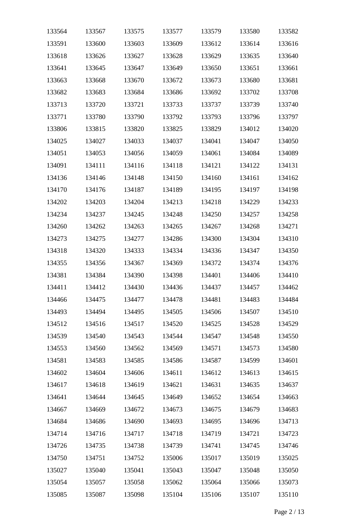| 133564 | 133567 | 133575 | 133577 | 133579 | 133580 | 133582 |
|--------|--------|--------|--------|--------|--------|--------|
| 133591 | 133600 | 133603 | 133609 | 133612 | 133614 | 133616 |
| 133618 | 133626 | 133627 | 133628 | 133629 | 133635 | 133640 |
| 133641 | 133645 | 133647 | 133649 | 133650 | 133651 | 133661 |
| 133663 | 133668 | 133670 | 133672 | 133673 | 133680 | 133681 |
| 133682 | 133683 | 133684 | 133686 | 133692 | 133702 | 133708 |
| 133713 | 133720 | 133721 | 133733 | 133737 | 133739 | 133740 |
| 133771 | 133780 | 133790 | 133792 | 133793 | 133796 | 133797 |
| 133806 | 133815 | 133820 | 133825 | 133829 | 134012 | 134020 |
| 134025 | 134027 | 134033 | 134037 | 134041 | 134047 | 134050 |
| 134051 | 134053 | 134056 | 134059 | 134061 | 134084 | 134089 |
| 134091 | 134111 | 134116 | 134118 | 134121 | 134122 | 134131 |
| 134136 | 134146 | 134148 | 134150 | 134160 | 134161 | 134162 |
| 134170 | 134176 | 134187 | 134189 | 134195 | 134197 | 134198 |
| 134202 | 134203 | 134204 | 134213 | 134218 | 134229 | 134233 |
| 134234 | 134237 | 134245 | 134248 | 134250 | 134257 | 134258 |
| 134260 | 134262 | 134263 | 134265 | 134267 | 134268 | 134271 |
| 134273 | 134275 | 134277 | 134286 | 134300 | 134304 | 134310 |
| 134318 | 134320 | 134333 | 134334 | 134336 | 134347 | 134350 |
| 134355 | 134356 | 134367 | 134369 | 134372 | 134374 | 134376 |
| 134381 | 134384 | 134390 | 134398 | 134401 | 134406 | 134410 |
| 134411 | 134412 | 134430 | 134436 | 134437 | 134457 | 134462 |
| 134466 | 134475 | 134477 | 134478 | 134481 | 134483 | 134484 |
| 134493 | 134494 | 134495 | 134505 | 134506 | 134507 | 134510 |
| 134512 | 134516 | 134517 | 134520 | 134525 | 134528 | 134529 |
| 134539 | 134540 | 134543 | 134544 | 134547 | 134548 | 134550 |
| 134553 | 134560 | 134562 | 134569 | 134571 | 134573 | 134580 |
| 134581 | 134583 | 134585 | 134586 | 134587 | 134599 | 134601 |
| 134602 | 134604 | 134606 | 134611 | 134612 | 134613 | 134615 |
| 134617 | 134618 | 134619 | 134621 | 134631 | 134635 | 134637 |
| 134641 | 134644 | 134645 | 134649 | 134652 | 134654 | 134663 |
| 134667 | 134669 | 134672 | 134673 | 134675 | 134679 | 134683 |
| 134684 | 134686 | 134690 | 134693 | 134695 | 134696 | 134713 |
| 134714 | 134716 | 134717 | 134718 | 134719 | 134721 | 134723 |
| 134726 | 134735 | 134738 | 134739 | 134741 | 134745 | 134746 |
| 134750 | 134751 | 134752 | 135006 | 135017 | 135019 | 135025 |
| 135027 | 135040 | 135041 | 135043 | 135047 | 135048 | 135050 |
| 135054 | 135057 | 135058 | 135062 | 135064 | 135066 | 135073 |
| 135085 | 135087 | 135098 | 135104 | 135106 | 135107 | 135110 |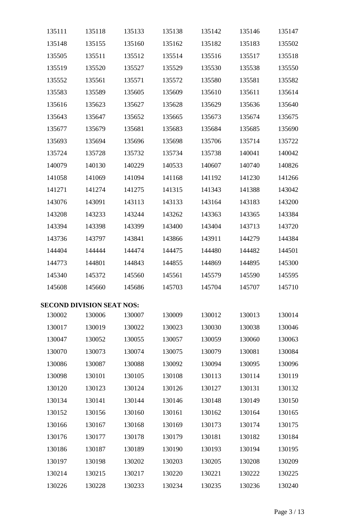| 135111 | 135118                           | 135133 | 135138 | 135142 | 135146 | 135147 |
|--------|----------------------------------|--------|--------|--------|--------|--------|
| 135148 | 135155                           | 135160 | 135162 | 135182 | 135183 | 135502 |
| 135505 | 135511                           | 135512 | 135514 | 135516 | 135517 | 135518 |
| 135519 | 135520                           | 135527 | 135529 | 135530 | 135538 | 135550 |
| 135552 | 135561                           | 135571 | 135572 | 135580 | 135581 | 135582 |
| 135583 | 135589                           | 135605 | 135609 | 135610 | 135611 | 135614 |
| 135616 | 135623                           | 135627 | 135628 | 135629 | 135636 | 135640 |
| 135643 | 135647                           | 135652 | 135665 | 135673 | 135674 | 135675 |
| 135677 | 135679                           | 135681 | 135683 | 135684 | 135685 | 135690 |
| 135693 | 135694                           | 135696 | 135698 | 135706 | 135714 | 135722 |
| 135724 | 135728                           | 135732 | 135734 | 135738 | 140041 | 140042 |
| 140079 | 140130                           | 140229 | 140533 | 140607 | 140740 | 140826 |
| 141058 | 141069                           | 141094 | 141168 | 141192 | 141230 | 141266 |
| 141271 | 141274                           | 141275 | 141315 | 141343 | 141388 | 143042 |
| 143076 | 143091                           | 143113 | 143133 | 143164 | 143183 | 143200 |
| 143208 | 143233                           | 143244 | 143262 | 143363 | 143365 | 143384 |
| 143394 | 143398                           | 143399 | 143400 | 143404 | 143713 | 143720 |
| 143736 | 143797                           | 143841 | 143866 | 143911 | 144279 | 144384 |
| 144404 | 144444                           | 144474 | 144475 | 144480 | 144482 | 144501 |
| 144773 | 144801                           | 144843 | 144855 | 144869 | 144895 | 145300 |
| 145340 | 145372                           | 145560 | 145561 | 145579 | 145590 | 145595 |
| 145608 | 145660                           | 145686 | 145703 | 145704 | 145707 | 145710 |
|        | <b>SECOND DIVISION SEAT NOS:</b> |        |        |        |        |        |
| 130002 | 130006                           | 130007 | 130009 | 130012 | 130013 | 130014 |
| 130017 | 130019                           | 130022 | 130023 | 130030 | 130038 | 130046 |
| 130047 | 130052                           | 130055 | 130057 | 130059 | 130060 | 130063 |
| 130070 | 130073                           | 130074 | 130075 | 130079 | 130081 | 130084 |
| 130086 | 130087                           | 130088 | 130092 | 130094 | 130095 | 130096 |
| 130098 | 130101                           | 130105 | 130108 | 130113 | 130114 | 130119 |
| 130120 | 130123                           | 130124 | 130126 | 130127 | 130131 | 130132 |
| 130134 | 130141                           | 130144 | 130146 | 130148 | 130149 | 130150 |
| 130152 | 130156                           | 130160 | 130161 | 130162 | 130164 | 130165 |
| 130166 | 130167                           | 130168 | 130169 | 130173 | 130174 | 130175 |
| 130176 | 130177                           | 130178 | 130179 | 130181 | 130182 | 130184 |
| 130186 | 130187                           | 130189 | 130190 | 130193 | 130194 | 130195 |
| 130197 | 130198                           | 130202 | 130203 | 130205 | 130208 | 130209 |
| 130214 | 130215                           | 130217 | 130220 | 130221 | 130222 | 130225 |
| 130226 | 130228                           | 130233 | 130234 | 130235 | 130236 | 130240 |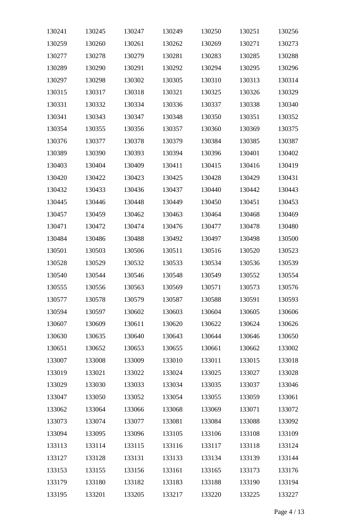| 130241 | 130245 | 130247 | 130249 | 130250 | 130251 | 130256 |
|--------|--------|--------|--------|--------|--------|--------|
| 130259 | 130260 | 130261 | 130262 | 130269 | 130271 | 130273 |
| 130277 | 130278 | 130279 | 130281 | 130283 | 130285 | 130288 |
| 130289 | 130290 | 130291 | 130292 | 130294 | 130295 | 130296 |
| 130297 | 130298 | 130302 | 130305 | 130310 | 130313 | 130314 |
| 130315 | 130317 | 130318 | 130321 | 130325 | 130326 | 130329 |
| 130331 | 130332 | 130334 | 130336 | 130337 | 130338 | 130340 |
| 130341 | 130343 | 130347 | 130348 | 130350 | 130351 | 130352 |
| 130354 | 130355 | 130356 | 130357 | 130360 | 130369 | 130375 |
| 130376 | 130377 | 130378 | 130379 | 130384 | 130385 | 130387 |
| 130389 | 130390 | 130393 | 130394 | 130396 | 130401 | 130402 |
| 130403 | 130404 | 130409 | 130411 | 130415 | 130416 | 130419 |
| 130420 | 130422 | 130423 | 130425 | 130428 | 130429 | 130431 |
| 130432 | 130433 | 130436 | 130437 | 130440 | 130442 | 130443 |
| 130445 | 130446 | 130448 | 130449 | 130450 | 130451 | 130453 |
| 130457 | 130459 | 130462 | 130463 | 130464 | 130468 | 130469 |
| 130471 | 130472 | 130474 | 130476 | 130477 | 130478 | 130480 |
| 130484 | 130486 | 130488 | 130492 | 130497 | 130498 | 130500 |
| 130501 | 130503 | 130506 | 130511 | 130516 | 130520 | 130523 |
| 130528 | 130529 | 130532 | 130533 | 130534 | 130536 | 130539 |
| 130540 | 130544 | 130546 | 130548 | 130549 | 130552 | 130554 |
| 130555 | 130556 | 130563 | 130569 | 130571 | 130573 | 130576 |
| 130577 | 130578 | 130579 | 130587 | 130588 | 130591 | 130593 |
| 130594 | 130597 | 130602 | 130603 | 130604 | 130605 | 130606 |
| 130607 | 130609 | 130611 | 130620 | 130622 | 130624 | 130626 |
| 130630 | 130635 | 130640 | 130643 | 130644 | 130646 | 130650 |
| 130651 | 130652 | 130653 | 130655 | 130661 | 130662 | 133002 |
| 133007 | 133008 | 133009 | 133010 | 133011 | 133015 | 133018 |
| 133019 | 133021 | 133022 | 133024 | 133025 | 133027 | 133028 |
| 133029 | 133030 | 133033 | 133034 | 133035 | 133037 | 133046 |
| 133047 | 133050 | 133052 | 133054 | 133055 | 133059 | 133061 |
| 133062 | 133064 | 133066 | 133068 | 133069 | 133071 | 133072 |
| 133073 | 133074 | 133077 | 133081 | 133084 | 133088 | 133092 |
| 133094 | 133095 | 133096 | 133105 | 133106 | 133108 | 133109 |
| 133113 | 133114 | 133115 | 133116 | 133117 | 133118 | 133124 |
| 133127 | 133128 | 133131 | 133133 | 133134 | 133139 | 133144 |
| 133153 | 133155 | 133156 | 133161 | 133165 | 133173 | 133176 |
| 133179 | 133180 | 133182 | 133183 | 133188 | 133190 | 133194 |
| 133195 | 133201 | 133205 | 133217 | 133220 | 133225 | 133227 |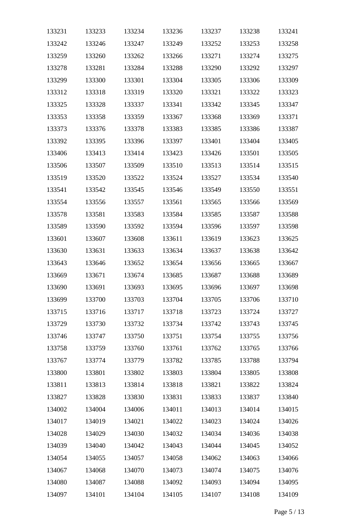| 133231 | 133233 | 133234 | 133236 | 133237 | 133238 | 133241 |
|--------|--------|--------|--------|--------|--------|--------|
| 133242 | 133246 | 133247 | 133249 | 133252 | 133253 | 133258 |
| 133259 | 133260 | 133262 | 133266 | 133271 | 133274 | 133275 |
| 133278 | 133281 | 133284 | 133288 | 133290 | 133292 | 133297 |
| 133299 | 133300 | 133301 | 133304 | 133305 | 133306 | 133309 |
| 133312 | 133318 | 133319 | 133320 | 133321 | 133322 | 133323 |
| 133325 | 133328 | 133337 | 133341 | 133342 | 133345 | 133347 |
| 133353 | 133358 | 133359 | 133367 | 133368 | 133369 | 133371 |
| 133373 | 133376 | 133378 | 133383 | 133385 | 133386 | 133387 |
| 133392 | 133395 | 133396 | 133397 | 133401 | 133404 | 133405 |
| 133406 | 133413 | 133414 | 133423 | 133426 | 133501 | 133505 |
| 133506 | 133507 | 133509 | 133510 | 133513 | 133514 | 133515 |
| 133519 | 133520 | 133522 | 133524 | 133527 | 133534 | 133540 |
| 133541 | 133542 | 133545 | 133546 | 133549 | 133550 | 133551 |
| 133554 | 133556 | 133557 | 133561 | 133565 | 133566 | 133569 |
| 133578 | 133581 | 133583 | 133584 | 133585 | 133587 | 133588 |
| 133589 | 133590 | 133592 | 133594 | 133596 | 133597 | 133598 |
| 133601 | 133607 | 133608 | 133611 | 133619 | 133623 | 133625 |
| 133630 | 133631 | 133633 | 133634 | 133637 | 133638 | 133642 |
| 133643 | 133646 | 133652 | 133654 | 133656 | 133665 | 133667 |
| 133669 | 133671 | 133674 | 133685 | 133687 | 133688 | 133689 |
| 133690 | 133691 | 133693 | 133695 | 133696 | 133697 | 133698 |
| 133699 | 133700 | 133703 | 133704 | 133705 | 133706 | 133710 |
| 133715 | 133716 | 133717 | 133718 | 133723 | 133724 | 133727 |
| 133729 | 133730 | 133732 | 133734 | 133742 | 133743 | 133745 |
| 133746 | 133747 | 133750 | 133751 | 133754 | 133755 | 133756 |
| 133758 | 133759 | 133760 | 133761 | 133762 | 133765 | 133766 |
| 133767 | 133774 | 133779 | 133782 | 133785 | 133788 | 133794 |
| 133800 | 133801 | 133802 | 133803 | 133804 | 133805 | 133808 |
| 133811 | 133813 | 133814 | 133818 | 133821 | 133822 | 133824 |
| 133827 | 133828 | 133830 | 133831 | 133833 | 133837 | 133840 |
| 134002 | 134004 | 134006 | 134011 | 134013 | 134014 | 134015 |
| 134017 | 134019 | 134021 | 134022 | 134023 | 134024 | 134026 |
| 134028 | 134029 | 134030 | 134032 | 134034 | 134036 | 134038 |
| 134039 | 134040 | 134042 | 134043 | 134044 | 134045 | 134052 |
| 134054 | 134055 | 134057 | 134058 | 134062 | 134063 | 134066 |
| 134067 | 134068 | 134070 | 134073 | 134074 | 134075 | 134076 |
| 134080 | 134087 | 134088 | 134092 | 134093 | 134094 | 134095 |
| 134097 | 134101 | 134104 | 134105 | 134107 | 134108 | 134109 |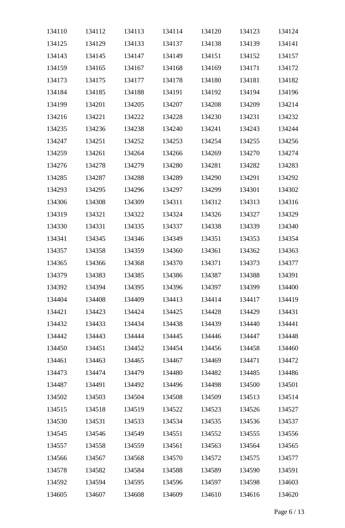| 134110 | 134112 | 134113 | 134114 | 134120 | 134123 | 134124 |
|--------|--------|--------|--------|--------|--------|--------|
| 134125 | 134129 | 134133 | 134137 | 134138 | 134139 | 134141 |
| 134143 | 134145 | 134147 | 134149 | 134151 | 134152 | 134157 |
| 134159 | 134165 | 134167 | 134168 | 134169 | 134171 | 134172 |
| 134173 | 134175 | 134177 | 134178 | 134180 | 134181 | 134182 |
| 134184 | 134185 | 134188 | 134191 | 134192 | 134194 | 134196 |
| 134199 | 134201 | 134205 | 134207 | 134208 | 134209 | 134214 |
| 134216 | 134221 | 134222 | 134228 | 134230 | 134231 | 134232 |
| 134235 | 134236 | 134238 | 134240 | 134241 | 134243 | 134244 |
| 134247 | 134251 | 134252 | 134253 | 134254 | 134255 | 134256 |
| 134259 | 134261 | 134264 | 134266 | 134269 | 134270 | 134274 |
| 134276 | 134278 | 134279 | 134280 | 134281 | 134282 | 134283 |
| 134285 | 134287 | 134288 | 134289 | 134290 | 134291 | 134292 |
| 134293 | 134295 | 134296 | 134297 | 134299 | 134301 | 134302 |
| 134306 | 134308 | 134309 | 134311 | 134312 | 134313 | 134316 |
| 134319 | 134321 | 134322 | 134324 | 134326 | 134327 | 134329 |
| 134330 | 134331 | 134335 | 134337 | 134338 | 134339 | 134340 |
| 134341 | 134345 | 134346 | 134349 | 134351 | 134353 | 134354 |
| 134357 | 134358 | 134359 | 134360 | 134361 | 134362 | 134363 |
| 134365 | 134366 | 134368 | 134370 | 134371 | 134373 | 134377 |
| 134379 | 134383 | 134385 | 134386 | 134387 | 134388 | 134391 |
| 134392 | 134394 | 134395 | 134396 | 134397 | 134399 | 134400 |
| 134404 | 134408 | 134409 | 134413 | 134414 | 134417 | 134419 |
| 134421 | 134423 | 134424 | 134425 | 134428 | 134429 | 134431 |
| 134432 | 134433 | 134434 | 134438 | 134439 | 134440 | 134441 |
| 134442 | 134443 | 134444 | 134445 | 134446 | 134447 | 134448 |
| 134450 | 134451 | 134452 | 134454 | 134456 | 134458 | 134460 |
| 134461 | 134463 | 134465 | 134467 | 134469 | 134471 | 134472 |
| 134473 | 134474 | 134479 | 134480 | 134482 | 134485 | 134486 |
| 134487 | 134491 | 134492 | 134496 | 134498 | 134500 | 134501 |
| 134502 | 134503 | 134504 | 134508 | 134509 | 134513 | 134514 |
| 134515 | 134518 | 134519 | 134522 | 134523 | 134526 | 134527 |
| 134530 | 134531 | 134533 | 134534 | 134535 | 134536 | 134537 |
| 134545 | 134546 | 134549 | 134551 | 134552 | 134555 | 134556 |
| 134557 | 134558 | 134559 | 134561 | 134563 | 134564 | 134565 |
| 134566 | 134567 | 134568 | 134570 | 134572 | 134575 | 134577 |
| 134578 | 134582 | 134584 | 134588 | 134589 | 134590 | 134591 |
| 134592 | 134594 | 134595 | 134596 | 134597 | 134598 | 134603 |
| 134605 | 134607 | 134608 | 134609 | 134610 | 134616 | 134620 |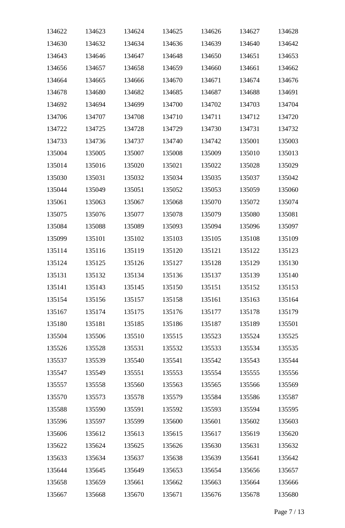| 134622 | 134623 | 134624 | 134625 | 134626 | 134627 | 134628 |
|--------|--------|--------|--------|--------|--------|--------|
| 134630 | 134632 | 134634 | 134636 | 134639 | 134640 | 134642 |
| 134643 | 134646 | 134647 | 134648 | 134650 | 134651 | 134653 |
| 134656 | 134657 | 134658 | 134659 | 134660 | 134661 | 134662 |
| 134664 | 134665 | 134666 | 134670 | 134671 | 134674 | 134676 |
| 134678 | 134680 | 134682 | 134685 | 134687 | 134688 | 134691 |
| 134692 | 134694 | 134699 | 134700 | 134702 | 134703 | 134704 |
| 134706 | 134707 | 134708 | 134710 | 134711 | 134712 | 134720 |
| 134722 | 134725 | 134728 | 134729 | 134730 | 134731 | 134732 |
| 134733 | 134736 | 134737 | 134740 | 134742 | 135001 | 135003 |
| 135004 | 135005 | 135007 | 135008 | 135009 | 135010 | 135013 |
| 135014 | 135016 | 135020 | 135021 | 135022 | 135028 | 135029 |
| 135030 | 135031 | 135032 | 135034 | 135035 | 135037 | 135042 |
| 135044 | 135049 | 135051 | 135052 | 135053 | 135059 | 135060 |
| 135061 | 135063 | 135067 | 135068 | 135070 | 135072 | 135074 |
| 135075 | 135076 | 135077 | 135078 | 135079 | 135080 | 135081 |
| 135084 | 135088 | 135089 | 135093 | 135094 | 135096 | 135097 |
| 135099 | 135101 | 135102 | 135103 | 135105 | 135108 | 135109 |
| 135114 | 135116 | 135119 | 135120 | 135121 | 135122 | 135123 |
| 135124 | 135125 | 135126 | 135127 | 135128 | 135129 | 135130 |
| 135131 | 135132 | 135134 | 135136 | 135137 | 135139 | 135140 |
| 135141 | 135143 | 135145 | 135150 | 135151 | 135152 | 135153 |
| 135154 | 135156 | 135157 | 135158 | 135161 | 135163 | 135164 |
| 135167 | 135174 | 135175 | 135176 | 135177 | 135178 | 135179 |
| 135180 | 135181 | 135185 | 135186 | 135187 | 135189 | 135501 |
| 135504 | 135506 | 135510 | 135515 | 135523 | 135524 | 135525 |
| 135526 | 135528 | 135531 | 135532 | 135533 | 135534 | 135535 |
| 135537 | 135539 | 135540 | 135541 | 135542 | 135543 | 135544 |
| 135547 | 135549 | 135551 | 135553 | 135554 | 135555 | 135556 |
| 135557 | 135558 | 135560 | 135563 | 135565 | 135566 | 135569 |
| 135570 | 135573 | 135578 | 135579 | 135584 | 135586 | 135587 |
| 135588 | 135590 | 135591 | 135592 | 135593 | 135594 | 135595 |
| 135596 | 135597 | 135599 | 135600 | 135601 | 135602 | 135603 |
| 135606 | 135612 | 135613 | 135615 | 135617 | 135619 | 135620 |
| 135622 | 135624 | 135625 | 135626 | 135630 | 135631 | 135632 |
| 135633 | 135634 | 135637 | 135638 | 135639 | 135641 | 135642 |
| 135644 | 135645 | 135649 | 135653 | 135654 | 135656 | 135657 |
| 135658 | 135659 | 135661 | 135662 | 135663 | 135664 | 135666 |
| 135667 | 135668 | 135670 | 135671 | 135676 | 135678 | 135680 |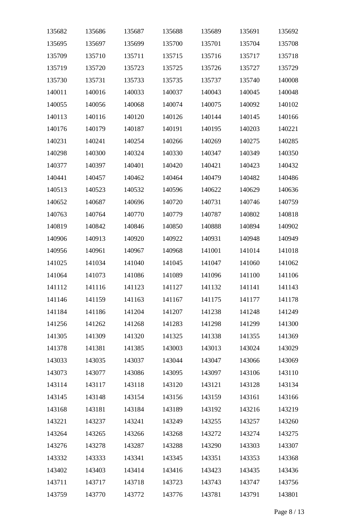| 135682 | 135686 | 135687 | 135688 | 135689 | 135691 | 135692 |
|--------|--------|--------|--------|--------|--------|--------|
| 135695 | 135697 | 135699 | 135700 | 135701 | 135704 | 135708 |
| 135709 | 135710 | 135711 | 135715 | 135716 | 135717 | 135718 |
| 135719 | 135720 | 135723 | 135725 | 135726 | 135727 | 135729 |
| 135730 | 135731 | 135733 | 135735 | 135737 | 135740 | 140008 |
| 140011 | 140016 | 140033 | 140037 | 140043 | 140045 | 140048 |
| 140055 | 140056 | 140068 | 140074 | 140075 | 140092 | 140102 |
| 140113 | 140116 | 140120 | 140126 | 140144 | 140145 | 140166 |
| 140176 | 140179 | 140187 | 140191 | 140195 | 140203 | 140221 |
| 140231 | 140241 | 140254 | 140266 | 140269 | 140275 | 140285 |
| 140298 | 140300 | 140324 | 140330 | 140347 | 140349 | 140350 |
| 140377 | 140397 | 140401 | 140420 | 140421 | 140423 | 140432 |
| 140441 | 140457 | 140462 | 140464 | 140479 | 140482 | 140486 |
| 140513 | 140523 | 140532 | 140596 | 140622 | 140629 | 140636 |
| 140652 | 140687 | 140696 | 140720 | 140731 | 140746 | 140759 |
| 140763 | 140764 | 140770 | 140779 | 140787 | 140802 | 140818 |
| 140819 | 140842 | 140846 | 140850 | 140888 | 140894 | 140902 |
| 140906 | 140913 | 140920 | 140922 | 140931 | 140948 | 140949 |
| 140956 | 140961 | 140967 | 140968 | 141001 | 141014 | 141018 |
| 141025 | 141034 | 141040 | 141045 | 141047 | 141060 | 141062 |
| 141064 | 141073 | 141086 | 141089 | 141096 | 141100 | 141106 |
| 141112 | 141116 | 141123 | 141127 | 141132 | 141141 | 141143 |
| 141146 | 141159 | 141163 | 141167 | 141175 | 141177 | 141178 |
| 141184 | 141186 | 141204 | 141207 | 141238 | 141248 | 141249 |
| 141256 | 141262 | 141268 | 141283 | 141298 | 141299 | 141300 |
| 141305 | 141309 | 141320 | 141325 | 141338 | 141355 | 141369 |
| 141378 | 141381 | 141385 | 143003 | 143013 | 143024 | 143029 |
| 143033 | 143035 | 143037 | 143044 | 143047 | 143066 | 143069 |
| 143073 | 143077 | 143086 | 143095 | 143097 | 143106 | 143110 |
| 143114 | 143117 | 143118 | 143120 | 143121 | 143128 | 143134 |
| 143145 | 143148 | 143154 | 143156 | 143159 | 143161 | 143166 |
| 143168 | 143181 | 143184 | 143189 | 143192 | 143216 | 143219 |
| 143221 | 143237 | 143241 | 143249 | 143255 | 143257 | 143260 |
| 143264 | 143265 | 143266 | 143268 | 143272 | 143274 | 143275 |
| 143276 | 143278 | 143287 | 143288 | 143290 | 143303 | 143307 |
| 143332 | 143333 | 143341 | 143345 | 143351 | 143353 | 143368 |
| 143402 | 143403 | 143414 | 143416 | 143423 | 143435 | 143436 |
| 143711 | 143717 | 143718 | 143723 | 143743 | 143747 | 143756 |
| 143759 | 143770 | 143772 | 143776 | 143781 | 143791 | 143801 |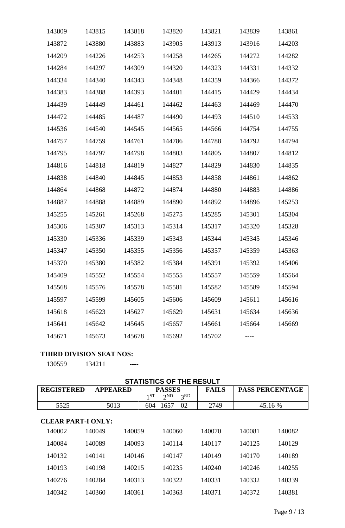| 143809 | 143815 | 143818 | 143820 | 143821 | 143839 | 143861 |
|--------|--------|--------|--------|--------|--------|--------|
| 143872 | 143880 | 143883 | 143905 | 143913 | 143916 | 144203 |
| 144209 | 144226 | 144253 | 144258 | 144265 | 144272 | 144282 |
| 144284 | 144297 | 144309 | 144320 | 144323 | 144331 | 144332 |
| 144334 | 144340 | 144343 | 144348 | 144359 | 144366 | 144372 |
| 144383 | 144388 | 144393 | 144401 | 144415 | 144429 | 144434 |
| 144439 | 144449 | 144461 | 144462 | 144463 | 144469 | 144470 |
| 144472 | 144485 | 144487 | 144490 | 144493 | 144510 | 144533 |
| 144536 | 144540 | 144545 | 144565 | 144566 | 144754 | 144755 |
| 144757 | 144759 | 144761 | 144786 | 144788 | 144792 | 144794 |
| 144795 | 144797 | 144798 | 144803 | 144805 | 144807 | 144812 |
| 144816 | 144818 | 144819 | 144827 | 144829 | 144830 | 144835 |
| 144838 | 144840 | 144845 | 144853 | 144858 | 144861 | 144862 |
| 144864 | 144868 | 144872 | 144874 | 144880 | 144883 | 144886 |
| 144887 | 144888 | 144889 | 144890 | 144892 | 144896 | 145253 |
| 145255 | 145261 | 145268 | 145275 | 145285 | 145301 | 145304 |
| 145306 | 145307 | 145313 | 145314 | 145317 | 145320 | 145328 |
| 145330 | 145336 | 145339 | 145343 | 145344 | 145345 | 145346 |
| 145347 | 145350 | 145355 | 145356 | 145357 | 145359 | 145363 |
| 145370 | 145380 | 145382 | 145384 | 145391 | 145392 | 145406 |
| 145409 | 145552 | 145554 | 145555 | 145557 | 145559 | 145564 |
| 145568 | 145576 | 145578 | 145581 | 145582 | 145589 | 145594 |
| 145597 | 145599 | 145605 | 145606 | 145609 | 145611 | 145616 |
| 145618 | 145623 | 145627 | 145629 | 145631 | 145634 | 145636 |
| 145641 | 145642 | 145645 | 145657 | 145661 | 145664 | 145669 |
| 145671 | 145673 | 145678 | 145692 | 145702 |        |        |

# **THIRD DIVISION SEAT NOS:**

134211 ----

# **STATISTICS OF THE RESULT**

| <b>REGISTERED</b>         | <b>APPEARED</b> | $1^{ST}$ | <b>PASSES</b><br>$2^{ND}$<br>3 <sup>RD</sup> | <b>FAILS</b> | <b>PASS PERCENTAGE</b> |        |
|---------------------------|-----------------|----------|----------------------------------------------|--------------|------------------------|--------|
| 5525                      | 5013            | 604      | 02<br>1657                                   | 2749         | 45.16 %                |        |
| <b>CLEAR PART-I ONLY:</b> |                 |          |                                              |              |                        |        |
| 140002                    | 140049          | 140059   | 140060                                       | 140070       | 140081                 | 140082 |
| 140084                    | 140089          | 140093   | 140114                                       | 140117       | 140125                 | 140129 |
| 140132                    | 140141          | 140146   | 140147                                       | 140149       | 140170                 | 140189 |
| 140193                    | 140198          | 140215   | 140235                                       | 140240       | 140246                 | 140255 |
| 140276                    | 140284          | 140313   | 140322                                       | 140331       | 140332                 | 140339 |
| 140342                    | 140360          | 140361   | 140363                                       | 140371       | 140372                 | 140381 |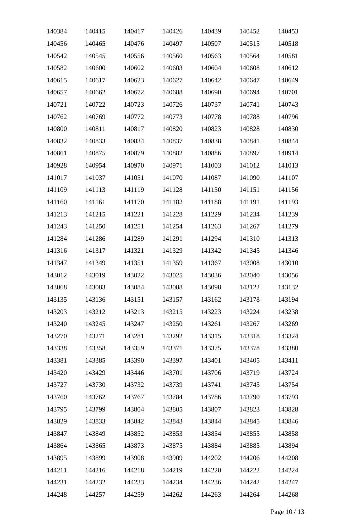| 140384 | 140415 | 140417 | 140426 | 140439 | 140452 | 140453 |
|--------|--------|--------|--------|--------|--------|--------|
| 140456 | 140465 | 140476 | 140497 | 140507 | 140515 | 140518 |
| 140542 | 140545 | 140556 | 140560 | 140563 | 140564 | 140581 |
| 140582 | 140600 | 140602 | 140603 | 140604 | 140608 | 140612 |
| 140615 | 140617 | 140623 | 140627 | 140642 | 140647 | 140649 |
| 140657 | 140662 | 140672 | 140688 | 140690 | 140694 | 140701 |
| 140721 | 140722 | 140723 | 140726 | 140737 | 140741 | 140743 |
| 140762 | 140769 | 140772 | 140773 | 140778 | 140788 | 140796 |
| 140800 | 140811 | 140817 | 140820 | 140823 | 140828 | 140830 |
| 140832 | 140833 | 140834 | 140837 | 140838 | 140841 | 140844 |
| 140861 | 140875 | 140879 | 140882 | 140886 | 140897 | 140914 |
| 140928 | 140954 | 140970 | 140971 | 141003 | 141012 | 141013 |
| 141017 | 141037 | 141051 | 141070 | 141087 | 141090 | 141107 |
| 141109 | 141113 | 141119 | 141128 | 141130 | 141151 | 141156 |
| 141160 | 141161 | 141170 | 141182 | 141188 | 141191 | 141193 |
| 141213 | 141215 | 141221 | 141228 | 141229 | 141234 | 141239 |
| 141243 | 141250 | 141251 | 141254 | 141263 | 141267 | 141279 |
| 141284 | 141286 | 141289 | 141291 | 141294 | 141310 | 141313 |
| 141316 | 141317 | 141321 | 141329 | 141342 | 141345 | 141346 |
| 141347 | 141349 | 141351 | 141359 | 141367 | 143008 | 143010 |
| 143012 | 143019 | 143022 | 143025 | 143036 | 143040 | 143056 |
| 143068 | 143083 | 143084 | 143088 | 143098 | 143122 | 143132 |
| 143135 | 143136 | 143151 | 143157 | 143162 | 143178 | 143194 |
| 143203 | 143212 | 143213 | 143215 | 143223 | 143224 | 143238 |
| 143240 | 143245 | 143247 | 143250 | 143261 | 143267 | 143269 |
| 143270 | 143271 | 143281 | 143292 | 143315 | 143318 | 143324 |
| 143338 | 143358 | 143359 | 143371 | 143375 | 143378 | 143380 |
| 143381 | 143385 | 143390 | 143397 | 143401 | 143405 | 143411 |
| 143420 | 143429 | 143446 | 143701 | 143706 | 143719 | 143724 |
| 143727 | 143730 | 143732 | 143739 | 143741 | 143745 | 143754 |
| 143760 | 143762 | 143767 | 143784 | 143786 | 143790 | 143793 |
| 143795 | 143799 | 143804 | 143805 | 143807 | 143823 | 143828 |
| 143829 | 143833 | 143842 | 143843 | 143844 | 143845 | 143846 |
| 143847 | 143849 | 143852 | 143853 | 143854 | 143855 | 143858 |
| 143864 | 143865 | 143873 | 143875 | 143884 | 143885 | 143894 |
| 143895 | 143899 | 143908 | 143909 | 144202 | 144206 | 144208 |
| 144211 | 144216 | 144218 | 144219 | 144220 | 144222 | 144224 |
| 144231 | 144232 | 144233 | 144234 | 144236 | 144242 | 144247 |
| 144248 | 144257 | 144259 | 144262 | 144263 | 144264 | 144268 |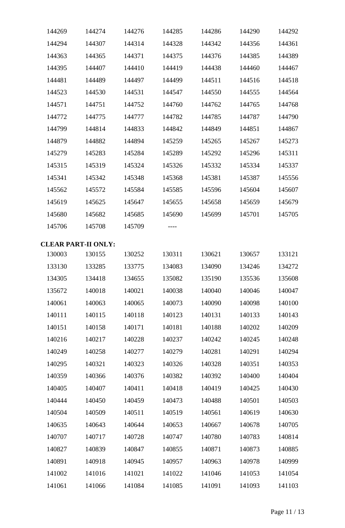| 144269 | 144274                     | 144276 | 144285 | 144286 | 144290 | 144292 |
|--------|----------------------------|--------|--------|--------|--------|--------|
| 144294 | 144307                     | 144314 | 144328 | 144342 | 144356 | 144361 |
| 144363 | 144365                     | 144371 | 144375 | 144376 | 144385 | 144389 |
| 144395 | 144407                     | 144410 | 144419 | 144438 | 144460 | 144467 |
| 144481 | 144489                     | 144497 | 144499 | 144511 | 144516 | 144518 |
| 144523 | 144530                     | 144531 | 144547 | 144550 | 144555 | 144564 |
| 144571 | 144751                     | 144752 | 144760 | 144762 | 144765 | 144768 |
| 144772 | 144775                     | 144777 | 144782 | 144785 | 144787 | 144790 |
| 144799 | 144814                     | 144833 | 144842 | 144849 | 144851 | 144867 |
| 144879 | 144882                     | 144894 | 145259 | 145265 | 145267 | 145273 |
| 145279 | 145283                     | 145284 | 145289 | 145292 | 145296 | 145311 |
| 145315 | 145319                     | 145324 | 145326 | 145332 | 145334 | 145337 |
| 145341 | 145342                     | 145348 | 145368 | 145381 | 145387 | 145556 |
| 145562 | 145572                     | 145584 | 145585 | 145596 | 145604 | 145607 |
| 145619 | 145625                     | 145647 | 145655 | 145658 | 145659 | 145679 |
| 145680 | 145682                     | 145685 | 145690 | 145699 | 145701 | 145705 |
| 145706 | 145708                     | 145709 |        |        |        |        |
|        | <b>CLEAR PART-II ONLY:</b> |        |        |        |        |        |
| 130003 | 130155                     | 130252 | 130311 | 130621 | 130657 | 133121 |
| 133130 | 133285                     | 133775 | 134083 | 134090 | 134246 | 134272 |
| 134305 | 134418                     | 134655 | 135082 | 135190 | 135536 | 135608 |
| 135672 | 140018                     | 140021 | 140038 | 140040 | 140046 | 140047 |
| 140061 | 140063                     | 140065 | 140073 | 140090 | 140098 | 140100 |
| 140111 | 140115                     | 140118 | 140123 | 140131 | 140133 | 140143 |
| 140151 | 140158                     | 140171 | 140181 | 140188 | 140202 | 140209 |
| 140216 | 140217                     | 140228 | 140237 | 140242 | 140245 | 140248 |
| 140249 | 140258                     | 140277 | 140279 | 140281 | 140291 | 140294 |
| 140295 | 140321                     | 140323 | 140326 | 140328 | 140351 | 140353 |
| 140359 | 140366                     | 140376 | 140382 | 140392 | 140400 | 140404 |
| 140405 | 140407                     | 140411 | 140418 | 140419 | 140425 | 140430 |
| 140444 | 140450                     | 140459 | 140473 | 140488 | 140501 | 140503 |
| 140504 | 140509                     | 140511 | 140519 | 140561 | 140619 | 140630 |
| 140635 | 140643                     | 140644 | 140653 | 140667 | 140678 | 140705 |
| 140707 | 140717                     | 140728 | 140747 | 140780 | 140783 | 140814 |
| 140827 | 140839                     | 140847 | 140855 | 140871 | 140873 | 140885 |
| 140891 | 140918                     | 140945 | 140957 | 140963 | 140978 | 140999 |
| 141002 | 141016                     | 141021 | 141022 | 141046 | 141053 | 141054 |
| 141061 | 141066                     | 141084 | 141085 | 141091 | 141093 | 141103 |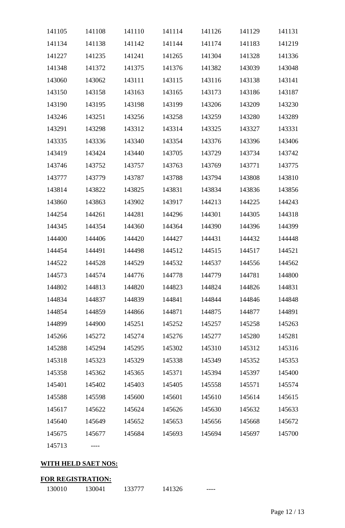| 141105 | 141108 | 141110 | 141114 | 141126 | 141129 | 141131 |
|--------|--------|--------|--------|--------|--------|--------|
| 141134 | 141138 | 141142 | 141144 | 141174 | 141183 | 141219 |
| 141227 | 141235 | 141241 | 141265 | 141304 | 141328 | 141336 |
| 141348 | 141372 | 141375 | 141376 | 141382 | 143039 | 143048 |
| 143060 | 143062 | 143111 | 143115 | 143116 | 143138 | 143141 |
| 143150 | 143158 | 143163 | 143165 | 143173 | 143186 | 143187 |
| 143190 | 143195 | 143198 | 143199 | 143206 | 143209 | 143230 |
| 143246 | 143251 | 143256 | 143258 | 143259 | 143280 | 143289 |
| 143291 | 143298 | 143312 | 143314 | 143325 | 143327 | 143331 |
| 143335 | 143336 | 143340 | 143354 | 143376 | 143396 | 143406 |
| 143419 | 143424 | 143440 | 143705 | 143729 | 143734 | 143742 |
| 143746 | 143752 | 143757 | 143763 | 143769 | 143771 | 143775 |
| 143777 | 143779 | 143787 | 143788 | 143794 | 143808 | 143810 |
| 143814 | 143822 | 143825 | 143831 | 143834 | 143836 | 143856 |
| 143860 | 143863 | 143902 | 143917 | 144213 | 144225 | 144243 |
| 144254 | 144261 | 144281 | 144296 | 144301 | 144305 | 144318 |
| 144345 | 144354 | 144360 | 144364 | 144390 | 144396 | 144399 |
| 144400 | 144406 | 144420 | 144427 | 144431 | 144432 | 144448 |
| 144454 | 144491 | 144498 | 144512 | 144515 | 144517 | 144521 |
| 144522 | 144528 | 144529 | 144532 | 144537 | 144556 | 144562 |
| 144573 | 144574 | 144776 | 144778 | 144779 | 144781 | 144800 |
| 144802 | 144813 | 144820 | 144823 | 144824 | 144826 | 144831 |
| 144834 | 144837 | 144839 | 144841 | 144844 | 144846 | 144848 |
| 144854 | 144859 | 144866 | 144871 | 144875 | 144877 | 144891 |
| 144899 | 144900 | 145251 | 145252 | 145257 | 145258 | 145263 |
| 145266 | 145272 | 145274 | 145276 | 145277 | 145280 | 145281 |
| 145288 | 145294 | 145295 | 145302 | 145310 | 145312 | 145316 |
| 145318 | 145323 | 145329 | 145338 | 145349 | 145352 | 145353 |
| 145358 | 145362 | 145365 | 145371 | 145394 | 145397 | 145400 |
| 145401 | 145402 | 145403 | 145405 | 145558 | 145571 | 145574 |
| 145588 | 145598 | 145600 | 145601 | 145610 | 145614 | 145615 |
| 145617 | 145622 | 145624 | 145626 | 145630 | 145632 | 145633 |
| 145640 | 145649 | 145652 | 145653 | 145656 | 145668 | 145672 |
| 145675 | 145677 | 145684 | 145693 | 145694 | 145697 | 145700 |
| 145713 |        |        |        |        |        |        |

# **WITH HELD SAET NOS:**

| <b>FOR REGISTRATION:</b> |        |        |        |  |
|--------------------------|--------|--------|--------|--|
| 130010                   | 130041 | 133777 | 141326 |  |